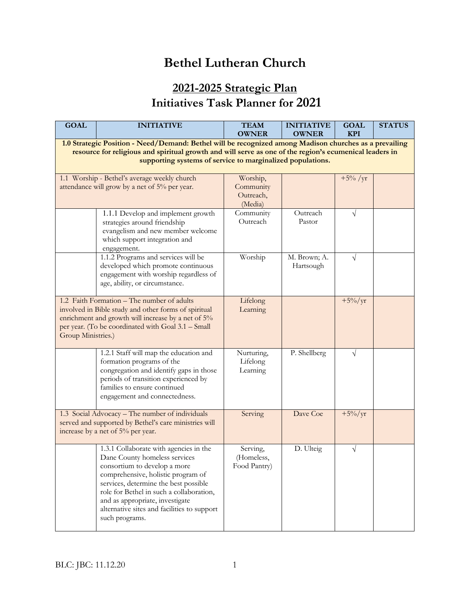## **Bethel Lutheran Church**

## **2021-2025 Strategic Plan Initiatives Task Planner for 2021**

| <b>GOAL</b>                                                                                                                                                                                                                                                                     | <b>INITIATIVE</b>                                                                                                                                                                                                                                                                                                                      | <b>TEAM</b><br><b>OWNER</b>                   | <b>INITIATIVE</b><br><b>OWNER</b> | <b>GOAL</b><br><b>KPI</b> | <b>STATUS</b> |  |
|---------------------------------------------------------------------------------------------------------------------------------------------------------------------------------------------------------------------------------------------------------------------------------|----------------------------------------------------------------------------------------------------------------------------------------------------------------------------------------------------------------------------------------------------------------------------------------------------------------------------------------|-----------------------------------------------|-----------------------------------|---------------------------|---------------|--|
|                                                                                                                                                                                                                                                                                 |                                                                                                                                                                                                                                                                                                                                        |                                               |                                   |                           |               |  |
| 1.0 Strategic Position - Need/Demand: Bethel will be recognized among Madison churches as a prevailing<br>resource for religious and spiritual growth and will serve as one of the region's ecumenical leaders in<br>supporting systems of service to marginalized populations. |                                                                                                                                                                                                                                                                                                                                        |                                               |                                   |                           |               |  |
| 1.1 Worship - Bethel's average weekly church<br>attendance will grow by a net of 5% per year.                                                                                                                                                                                   |                                                                                                                                                                                                                                                                                                                                        | Worship,<br>Community<br>Outreach,<br>(Media) |                                   | $+5\%$ /yr                |               |  |
|                                                                                                                                                                                                                                                                                 | 1.1.1 Develop and implement growth<br>strategies around friendship<br>evangelism and new member welcome<br>which support integration and<br>engagement.                                                                                                                                                                                | Community<br>Outreach                         | Outreach<br>Pastor                | V                         |               |  |
|                                                                                                                                                                                                                                                                                 | 1.1.2 Programs and services will be<br>developed which promote continuous<br>engagement with worship regardless of<br>age, ability, or circumstance.                                                                                                                                                                                   | Worship                                       | M. Brown; A.<br>Hartsough         | $\sqrt{}$                 |               |  |
| 1.2 Faith Formation - The number of adults<br>involved in Bible study and other forms of spiritual<br>enrichment and growth will increase by a net of 5%<br>per year. (To be coordinated with Goal 3.1 - Small<br>Group Ministries.)                                            |                                                                                                                                                                                                                                                                                                                                        | Lifelong<br>Learning                          |                                   | $+5\%/yr$                 |               |  |
|                                                                                                                                                                                                                                                                                 | 1.2.1 Staff will map the education and<br>formation programs of the<br>congregation and identify gaps in those<br>periods of transition experienced by<br>families to ensure continued<br>engagement and connectedness.                                                                                                                | Nurturing,<br>Lifelong<br>Learning            | P. Shellberg                      | $\sqrt{}$                 |               |  |
| 1.3 Social Advocacy - The number of individuals<br>served and supported by Bethel's care ministries will<br>increase by a net of 5% per year.                                                                                                                                   |                                                                                                                                                                                                                                                                                                                                        | Serving                                       | Dave Coe                          | $+5\%/yr$                 |               |  |
|                                                                                                                                                                                                                                                                                 | 1.3.1 Collaborate with agencies in the<br>Dane County homeless services<br>consortium to develop a more<br>comprehensive, holistic program of<br>services, determine the best possible<br>role for Bethel in such a collaboration,<br>and as appropriate, investigate<br>alternative sites and facilities to support<br>such programs. | Serving,<br>(Homeless,<br>Food Pantry)        | D. Ulteig                         | $\sqrt{}$                 |               |  |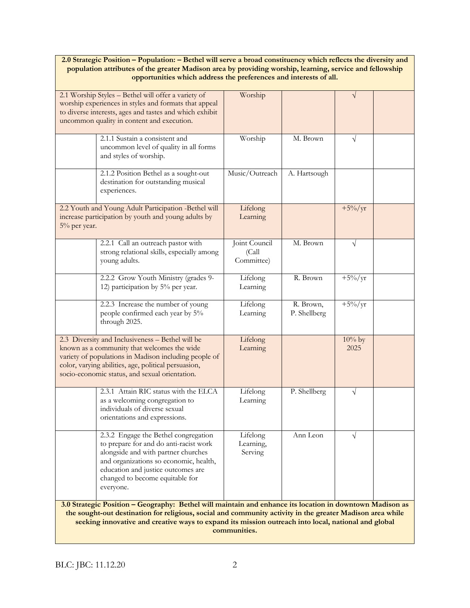## **2.0 Strategic Position – Population: – Bethel will serve a broad constituency which reflects the diversity and population attributes of the greater Madison area by providing worship, learning, service and fellowship opportunities which address the preferences and interests of all.**

| 2.1 Worship Styles - Bethel will offer a variety of<br>worship experiences in styles and formats that appeal<br>to diverse interests, ages and tastes and which exhibit<br>uncommon quality in content and execution.                                                                                                                        |                                                                                                                                                                                                                                                       | Worship                               |                           | V                 |  |
|----------------------------------------------------------------------------------------------------------------------------------------------------------------------------------------------------------------------------------------------------------------------------------------------------------------------------------------------|-------------------------------------------------------------------------------------------------------------------------------------------------------------------------------------------------------------------------------------------------------|---------------------------------------|---------------------------|-------------------|--|
|                                                                                                                                                                                                                                                                                                                                              | 2.1.1 Sustain a consistent and<br>uncommon level of quality in all forms<br>and styles of worship.                                                                                                                                                    | Worship                               | M. Brown                  | $\sqrt{ }$        |  |
|                                                                                                                                                                                                                                                                                                                                              | 2.1.2 Position Bethel as a sought-out<br>destination for outstanding musical<br>experiences.                                                                                                                                                          | Music/Outreach                        | A. Hartsough              |                   |  |
| 5% per year.                                                                                                                                                                                                                                                                                                                                 | 2.2 Youth and Young Adult Participation -Bethel will<br>increase participation by youth and young adults by                                                                                                                                           | Lifelong<br>Learning                  |                           | $+5\%/yr$         |  |
|                                                                                                                                                                                                                                                                                                                                              | 2.2.1 Call an outreach pastor with<br>strong relational skills, especially among<br>young adults.                                                                                                                                                     | Joint Council<br>(Call)<br>Committee) | M. Brown                  | $\sqrt{ }$        |  |
|                                                                                                                                                                                                                                                                                                                                              | 2.2.2 Grow Youth Ministry (grades 9-<br>12) participation by 5% per year.                                                                                                                                                                             | Lifelong<br>Learning                  | R. Brown                  | $+5\%/yr$         |  |
|                                                                                                                                                                                                                                                                                                                                              | 2.2.3 Increase the number of young<br>people confirmed each year by 5%<br>through 2025.                                                                                                                                                               | Lifelong<br>Learning                  | R. Brown,<br>P. Shellberg | $+5\%/yr$         |  |
| 2.3 Diversity and Inclusiveness - Bethel will be<br>known as a community that welcomes the wide<br>variety of populations in Madison including people of<br>color, varying abilities, age, political persuasion,<br>socio-economic status, and sexual orientation.                                                                           |                                                                                                                                                                                                                                                       | Lifelong<br>Learning                  |                           | $10\%$ by<br>2025 |  |
|                                                                                                                                                                                                                                                                                                                                              | 2.3.1 Attain RIC status with the ELCA<br>as a welcoming congregation to<br>individuals of diverse sexual<br>orientations and expressions.                                                                                                             | Lifelong<br>Learning                  | P. Shellberg              | $\sqrt{}$         |  |
|                                                                                                                                                                                                                                                                                                                                              | 2.3.2 Engage the Bethel congregation<br>to prepare for and do anti-racist work<br>alongside and with partner churches<br>and organizations so economic, health,<br>education and justice outcomes are<br>changed to become equitable for<br>everyone. | Lifelong<br>Learning,<br>Serving      | Ann Leon                  | V                 |  |
| 3.0 Strategic Position - Geography: Bethel will maintain and enhance its location in downtown Madison as<br>the sought-out destination for religious, social and community activity in the greater Madison area while<br>seeking innovative and creative ways to expand its mission outreach into local, national and global<br>communities. |                                                                                                                                                                                                                                                       |                                       |                           |                   |  |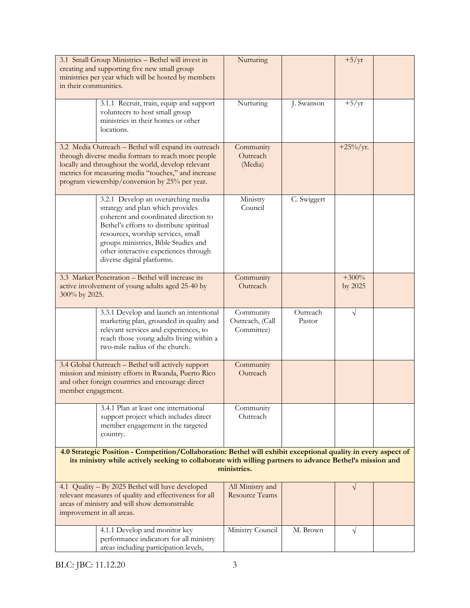| in their communities.                                                                                                                                                                                                                                                     | 3.1 Small Group Ministries - Bethel will invest in<br>creating and supporting five new small group<br>ministries per year which will be hosted by members                                                                                                                                                        | Nurturing                                  |                    | $+5/yr$            |  |
|---------------------------------------------------------------------------------------------------------------------------------------------------------------------------------------------------------------------------------------------------------------------------|------------------------------------------------------------------------------------------------------------------------------------------------------------------------------------------------------------------------------------------------------------------------------------------------------------------|--------------------------------------------|--------------------|--------------------|--|
|                                                                                                                                                                                                                                                                           | 3.1.1 Recruit, train, equip and support<br>volunteers to host small group<br>ministries in their homes or other<br>locations.                                                                                                                                                                                    | Nurturing                                  | J. Swanson         | $+5/yr$            |  |
| 3.2 Media Outreach - Bethel will expand its outreach<br>through diverse media formats to reach more people<br>locally and throughout the world, develop relevant<br>metrics for measuring media "touches," and increase<br>program viewership/conversion by 25% per year. |                                                                                                                                                                                                                                                                                                                  | Community<br>Outreach<br>(Media)           |                    | $+25\%/yr.$        |  |
|                                                                                                                                                                                                                                                                           | 3.2.1 Develop an overarching media<br>strategy and plan which provides<br>coherent and coordinated direction to<br>Bethel's efforts to distribute spiritual<br>resources, worship services, small<br>groups ministries, Bible Studies and<br>other interactive experiences through<br>diverse digital platforms. | Ministry<br>Council                        | C. Swiggert        |                    |  |
| 3.3 Market Penetration - Bethel will increase its<br>active involvement of young adults aged 25-40 by<br>300% by 2025.                                                                                                                                                    |                                                                                                                                                                                                                                                                                                                  | Community<br>Outreach                      |                    | $+300%$<br>by 2025 |  |
|                                                                                                                                                                                                                                                                           | 3.3.1 Develop and launch an intentional<br>marketing plan, grounded in quality and<br>relevant services and experiences, to<br>reach those young adults living within a<br>two-mile radius of the church.                                                                                                        | Community<br>Outreach, (Call<br>Committee) | Outreach<br>Pastor | V                  |  |
| 3.4 Global Outreach - Bethel will actively support<br>mission and ministry efforts in Rwanda, Puerto Rico<br>and other foreign countries and encourage direct<br>member engagement.                                                                                       |                                                                                                                                                                                                                                                                                                                  | Community<br>Outreach                      |                    |                    |  |
|                                                                                                                                                                                                                                                                           | 3.4.1 Plan at least one international<br>support project which includes direct<br>member engagement in the targeted<br>country.                                                                                                                                                                                  | Community<br>Outreach                      |                    |                    |  |
| 4.0 Strategic Position - Competition/Collaboration: Bethel will exhibit exceptional quality in every aspect of<br>its ministry while actively seeking to collaborate with willing partners to advance Bethel's mission and<br>ministries.                                 |                                                                                                                                                                                                                                                                                                                  |                                            |                    |                    |  |
| 4.1 Quality - By 2025 Bethel will have developed<br>relevant measures of quality and effectiveness for all<br>areas of ministry and will show demonstrable<br>improvement in all areas.                                                                                   |                                                                                                                                                                                                                                                                                                                  | All Ministry and<br><b>Resource Teams</b>  |                    | V                  |  |
|                                                                                                                                                                                                                                                                           | 4.1.1 Develop and monitor key<br>performance indicators for all ministry<br>areas including participation levels,                                                                                                                                                                                                | Ministry Council                           | M. Brown           | V                  |  |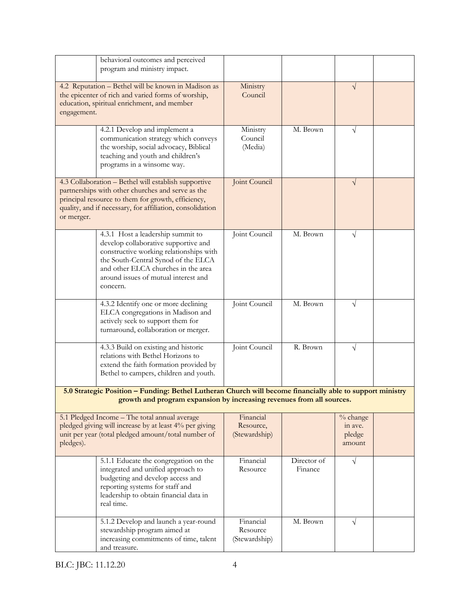|                                                                                                                                                                                                                                            | behavioral outcomes and perceived<br>program and ministry impact.                                                                                                                                                                                      |                                         |                        |                                         |  |
|--------------------------------------------------------------------------------------------------------------------------------------------------------------------------------------------------------------------------------------------|--------------------------------------------------------------------------------------------------------------------------------------------------------------------------------------------------------------------------------------------------------|-----------------------------------------|------------------------|-----------------------------------------|--|
| 4.2 Reputation - Bethel will be known in Madison as<br>the epicenter of rich and varied forms of worship,<br>education, spiritual enrichment, and member<br>engagement.                                                                    |                                                                                                                                                                                                                                                        | Ministry<br>Council                     |                        | $\sqrt{}$                               |  |
|                                                                                                                                                                                                                                            | 4.2.1 Develop and implement a<br>communication strategy which conveys<br>the worship, social advocacy, Biblical<br>teaching and youth and children's<br>programs in a winsome way.                                                                     | Ministry<br>Council<br>(Media)          | M. Brown               | $\sqrt{}$                               |  |
| 4.3 Collaboration - Bethel will establish supportive<br>partnerships with other churches and serve as the<br>principal resource to them for growth, efficiency,<br>quality, and if necessary, for affiliation, consolidation<br>or merger. |                                                                                                                                                                                                                                                        | Joint Council                           |                        | $\sqrt{}$                               |  |
|                                                                                                                                                                                                                                            | 4.3.1 Host a leadership summit to<br>develop collaborative supportive and<br>constructive working relationships with<br>the South-Central Synod of the ELCA<br>and other ELCA churches in the area<br>around issues of mutual interest and<br>concern. | Joint Council                           | M. Brown               | V                                       |  |
|                                                                                                                                                                                                                                            | 4.3.2 Identify one or more declining<br>ELCA congregations in Madison and<br>actively seek to support them for<br>turnaround, collaboration or merger.                                                                                                 | Joint Council                           | M. Brown               | $\sqrt{}$                               |  |
|                                                                                                                                                                                                                                            | 4.3.3 Build on existing and historic<br>relations with Bethel Horizons to<br>extend the faith formation provided by<br>Bethel to campers, children and youth.                                                                                          | Joint Council                           | R. Brown               | $\sqrt{}$                               |  |
|                                                                                                                                                                                                                                            | 5.0 Strategic Position - Funding: Bethel Lutheran Church will become financially able to support ministry<br>growth and program expansion by increasing revenues from all sources.                                                                     |                                         |                        |                                         |  |
| 5.1 Pledged Income - The total annual average<br>pledged giving will increase by at least 4% per giving<br>unit per year (total pledged amount/total number of<br>pledges).                                                                |                                                                                                                                                                                                                                                        | Financial<br>Resource,<br>(Stewardship) |                        | % change<br>in ave.<br>pledge<br>amount |  |
|                                                                                                                                                                                                                                            | 5.1.1 Educate the congregation on the<br>integrated and unified approach to<br>budgeting and develop access and<br>reporting systems for staff and<br>leadership to obtain financial data in<br>real time.                                             | Financial<br>Resource                   | Director of<br>Finance | $\sqrt{}$                               |  |
|                                                                                                                                                                                                                                            | 5.1.2 Develop and launch a year-round<br>stewardship program aimed at<br>increasing commitments of time, talent<br>and treasure.                                                                                                                       | Financial<br>Resource<br>(Stewardship)  | M. Brown               | $\sqrt{}$                               |  |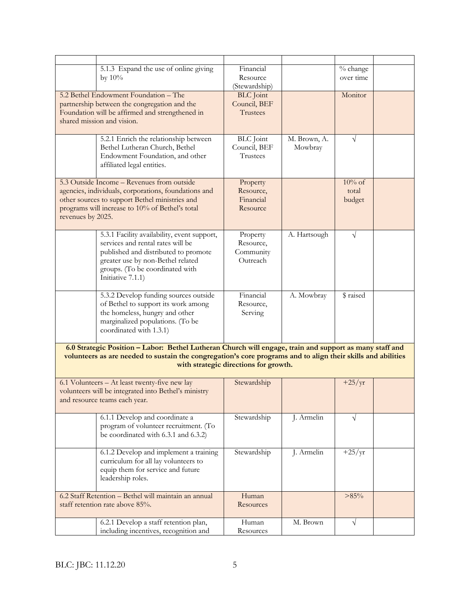|                                                                                                                                                                        | 5.1.3 Expand the use of online giving<br>by $10\%$                                                                                                                                                                      | Financial<br>Resource<br>(Stewardship)         |                         | % change<br>over time        |  |
|------------------------------------------------------------------------------------------------------------------------------------------------------------------------|-------------------------------------------------------------------------------------------------------------------------------------------------------------------------------------------------------------------------|------------------------------------------------|-------------------------|------------------------------|--|
| 5.2 Bethel Endowment Foundation - The<br>partnership between the congregation and the<br>Foundation will be affirmed and strengthened in<br>shared mission and vision. |                                                                                                                                                                                                                         | <b>BLC</b> Joint<br>Council, BEF<br>Trustees   |                         | Monitor                      |  |
|                                                                                                                                                                        | 5.2.1 Enrich the relationship between<br>Bethel Lutheran Church, Bethel<br>Endowment Foundation, and other<br>affiliated legal entities.                                                                                | <b>BLC</b> Joint<br>Council, BEF<br>Trustees   | M. Brown, A.<br>Mowbray | $\sqrt{}$                    |  |
| revenues by 2025.                                                                                                                                                      | 5.3 Outside Income - Revenues from outside<br>agencies, individuals, corporations, foundations and<br>other sources to support Bethel ministries and<br>programs will increase to 10% of Bethel's total                 | Property<br>Resource,<br>Financial<br>Resource |                         | $10\%$ of<br>total<br>budget |  |
|                                                                                                                                                                        | 5.3.1 Facility availability, event support,<br>services and rental rates will be<br>published and distributed to promote<br>greater use by non-Bethel related<br>groups. (To be coordinated with<br>Initiative 7.1.1)   | Property<br>Resource,<br>Community<br>Outreach | A. Hartsough            | $\sqrt{}$                    |  |
|                                                                                                                                                                        | 5.3.2 Develop funding sources outside<br>of Bethel to support its work among<br>the homeless, hungry and other<br>marginalized populations. (To be<br>coordinated with 1.3.1)                                           | Financial<br>Resource,<br>Serving              | A. Mowbray              | \$ raised                    |  |
|                                                                                                                                                                        | 6.0 Strategic Position - Labor: Bethel Lutheran Church will engage, train and support as many staff and<br>volunteers as are needed to sustain the congregation's core programs and to align their skills and abilities | with strategic directions for growth.          |                         |                              |  |
|                                                                                                                                                                        | 6.1 Volunteers - At least twenty-five new lay<br>volunteers will be integrated into Bethel's ministry<br>and resource teams each year.                                                                                  | Stewardship                                    |                         | $+25/yr$                     |  |
|                                                                                                                                                                        | 6.1.1 Develop and coordinate a<br>program of volunteer recruitment. (To<br>be coordinated with 6.3.1 and 6.3.2)                                                                                                         | Stewardship                                    | J. Armelin              | $\sqrt{}$                    |  |
|                                                                                                                                                                        | 6.1.2 Develop and implement a training<br>curriculum for all lay volunteers to<br>equip them for service and future<br>leadership roles.                                                                                | Stewardship                                    | J. Armelin              | $+25/yr$                     |  |
| 6.2 Staff Retention - Bethel will maintain an annual<br>staff retention rate above 85%.                                                                                |                                                                                                                                                                                                                         | Human<br>Resources                             |                         | >85%                         |  |
|                                                                                                                                                                        | 6.2.1 Develop a staff retention plan,<br>including incentives, recognition and                                                                                                                                          | Human<br>Resources                             | M. Brown                | $\sqrt{}$                    |  |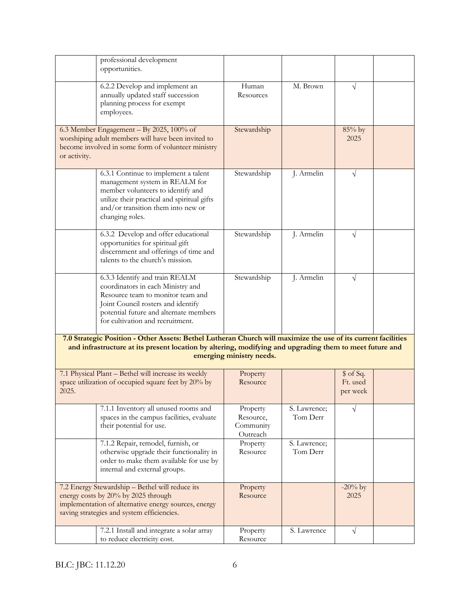|                                                                                                                                                                                                                                                      | professional development<br>opportunities.                                                                                                                                                                                   |                                                |                          |                                   |  |
|------------------------------------------------------------------------------------------------------------------------------------------------------------------------------------------------------------------------------------------------------|------------------------------------------------------------------------------------------------------------------------------------------------------------------------------------------------------------------------------|------------------------------------------------|--------------------------|-----------------------------------|--|
|                                                                                                                                                                                                                                                      | 6.2.2 Develop and implement an<br>annually updated staff succession<br>planning process for exempt<br>employees.                                                                                                             | Human<br>Resources                             | M. Brown                 | V                                 |  |
| or activity.                                                                                                                                                                                                                                         | 6.3 Member Engagement - By 2025, 100% of<br>worshiping adult members will have been invited to<br>become involved in some form of volunteer ministry                                                                         | Stewardship                                    |                          | 85% by<br>2025                    |  |
|                                                                                                                                                                                                                                                      | 6.3.1 Continue to implement a talent<br>management system in REALM for<br>member volunteers to identify and<br>utilize their practical and spiritual gifts<br>and/or transition them into new or<br>changing roles.          | Stewardship                                    | J. Armelin               | $\sqrt{}$                         |  |
|                                                                                                                                                                                                                                                      | 6.3.2 Develop and offer educational<br>opportunities for spiritual gift<br>discernment and offerings of time and<br>talents to the church's mission.                                                                         | Stewardship                                    | J. Armelin               | V                                 |  |
|                                                                                                                                                                                                                                                      | 6.3.3 Identify and train REALM<br>coordinators in each Ministry and<br>Resource team to monitor team and<br>Joint Council rosters and identify<br>potential future and alternate members<br>for cultivation and recruitment. | Stewardship                                    | J. Armelin               | $\sqrt{}$                         |  |
| 7.0 Strategic Position - Other Assets: Bethel Lutheran Church will maximize the use of its current facilities<br>and infrastructure at its present location by altering, modifying and upgrading them to meet future and<br>emerging ministry needs. |                                                                                                                                                                                                                              |                                                |                          |                                   |  |
| 2025.                                                                                                                                                                                                                                                | 7.1 Physical Plant - Bethel will increase its weekly<br>space utilization of occupied square feet by 20% by                                                                                                                  | Property<br>Resource                           |                          | \$ of Sq.<br>Ft. used<br>per week |  |
|                                                                                                                                                                                                                                                      | 7.1.1 Inventory all unused rooms and<br>spaces in the campus facilities, evaluate<br>their potential for use.                                                                                                                | Property<br>Resource,<br>Community<br>Outreach | S. Lawrence;<br>Tom Derr | V                                 |  |
|                                                                                                                                                                                                                                                      | 7.1.2 Repair, remodel, furnish, or<br>otherwise upgrade their functionality in<br>order to make them available for use by<br>internal and external groups.                                                                   | Property<br>Resource                           | S. Lawrence;<br>Tom Derr |                                   |  |
|                                                                                                                                                                                                                                                      | 7.2 Energy Stewardship - Bethel will reduce its<br>energy costs by 20% by 2025 through<br>implementation of alternative energy sources, energy<br>saving strategies and system efficiencies.                                 | Property<br>Resource                           |                          | $-20\%$ by<br>2025                |  |
|                                                                                                                                                                                                                                                      | 7.2.1 Install and integrate a solar array<br>to reduce electricity cost.                                                                                                                                                     | Property<br>Resource                           | S. Lawrence              | $\sqrt{ }$                        |  |